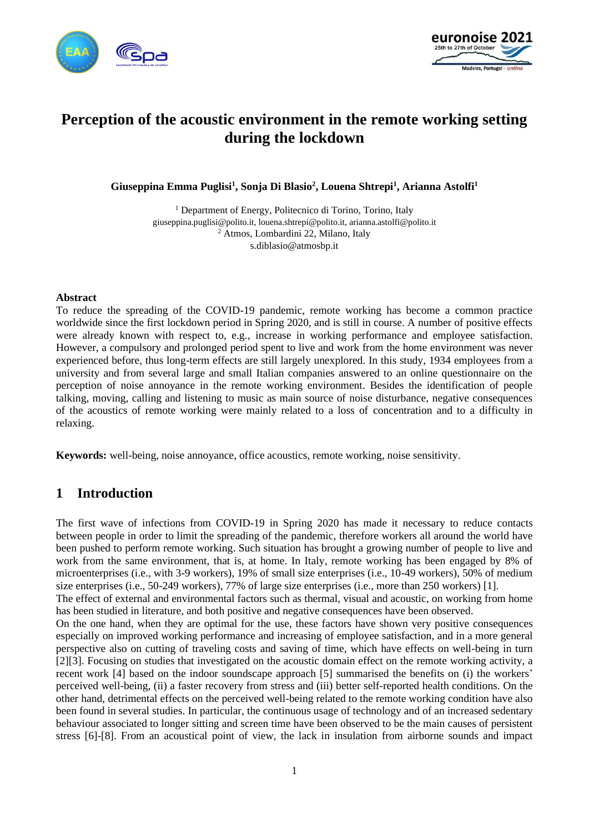



# **Perception of the acoustic environment in the remote working setting during the lockdown**

**Giuseppina Emma Puglisi<sup>1</sup> , Sonja Di Blasio<sup>2</sup> , Louena Shtrepi<sup>1</sup> , Arianna Astolfi<sup>1</sup>**

<sup>1</sup> Department of Energy, Politecnico di Torino, Torino, Italy giuseppina.puglisi@polito.it, louena.shtrepi@polito.it, arianna.astolfi@polito.it <sup>2</sup> Atmos, Lombardini 22, Milano, Italy s.diblasio@atmosbp.it

#### **Abstract**

To reduce the spreading of the COVID-19 pandemic, remote working has become a common practice worldwide since the first lockdown period in Spring 2020, and is still in course. A number of positive effects were already known with respect to, e.g., increase in working performance and employee satisfaction. However, a compulsory and prolonged period spent to live and work from the home environment was never experienced before, thus long-term effects are still largely unexplored. In this study, 1934 employees from a university and from several large and small Italian companies answered to an online questionnaire on the perception of noise annoyance in the remote working environment. Besides the identification of people talking, moving, calling and listening to music as main source of noise disturbance, negative consequences of the acoustics of remote working were mainly related to a loss of concentration and to a difficulty in relaxing.

**Keywords:** well-being, noise annoyance, office acoustics, remote working, noise sensitivity.

### **1 Introduction**

The first wave of infections from COVID-19 in Spring 2020 has made it necessary to reduce contacts between people in order to limit the spreading of the pandemic, therefore workers all around the world have been pushed to perform remote working. Such situation has brought a growing number of people to live and work from the same environment, that is, at home. In Italy, remote working has been engaged by 8% of microenterprises (i.e., with 3-9 workers), 19% of small size enterprises (i.e., 10-49 workers), 50% of medium size enterprises (i.e., 50-249 workers), 77% of large size enterprises (i.e., more than 250 workers) [\[1\].](#page-6-0) The effect of external and environmental factors such as thermal, visual and acoustic, on working from home has been studied in literature, and both positive and negative consequences have been observed. On the one hand, when they are optimal for the use, these factors have shown very positive consequences

especially on improved working performance and increasing of employee satisfaction, and in a more general perspective also on cutting of traveling costs and saving of time, which have effects on well-being in turn [\[2\]](#page-6-1)[\[3\].](#page-6-2) Focusing on studies that investigated on the acoustic domain effect on the remote working activity, a recent work [\[4\]](#page-6-3) based on the indoor soundscape approach [\[5\]](#page-6-4) summarised the benefits on (i) the workers' perceived well-being, (ii) a faster recovery from stress and (iii) better self-reported health conditions. On the other hand, detrimental effects on the perceived well-being related to the remote working condition have also been found in several studies. In particular, the continuous usage of technology and of an increased sedentary behaviour associated to longer sitting and screen time have been observed to be the main causes of persistent stress [\[6\]](#page-6-5)[-\[8\].](#page-7-0) From an acoustical point of view, the lack in insulation from airborne sounds and impact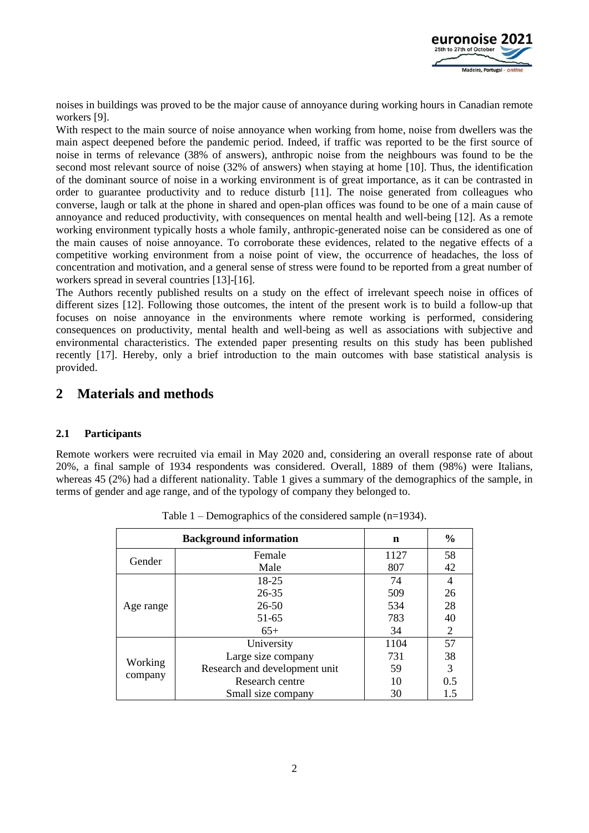

noises in buildings was proved to be the major cause of annoyance during working hours in Canadian remote workers [\[9\].](#page-7-1)

With respect to the main source of noise annoyance when working from home, noise from dwellers was the main aspect deepened before the pandemic period. Indeed, if traffic was reported to be the first source of noise in terms of relevance (38% of answers), anthropic noise from the neighbours was found to be the second most relevant source of noise (32% of answers) when staying at home [\[10\].](#page-7-2) Thus, the identification of the dominant source of noise in a working environment is of great importance, as it can be contrasted in order to guarantee productivity and to reduce disturb [\[11\].](#page-7-3) The noise generated from colleagues who converse, laugh or talk at the phone in shared and open-plan offices was found to be one of a main cause of annoyance and reduced productivity, with consequences on mental health and well-being [\[12\].](#page-7-4) As a remote working environment typically hosts a whole family, anthropic-generated noise can be considered as one of the main causes of noise annoyance. To corroborate these evidences, related to the negative effects of a competitive working environment from a noise point of view, the occurrence of headaches, the loss of concentration and motivation, and a general sense of stress were found to be reported from a great number of workers spread in several countries [\[13\]](#page-7-5)[-\[16\].](#page-7-6)

The Authors recently published results on a study on the effect of irrelevant speech noise in offices of different sizes [\[12\].](#page-7-4) Following those outcomes, the intent of the present work is to build a follow-up that focuses on noise annoyance in the environments where remote working is performed, considering consequences on productivity, mental health and well-being as well as associations with subjective and environmental characteristics. The extended paper presenting results on this study has been published recently [\[17\].](#page-7-7) Hereby, only a brief introduction to the main outcomes with base statistical analysis is provided.

### **2 Materials and methods**

#### **2.1 Participants**

Remote workers were recruited via email in May 2020 and, considering an overall response rate of about 20%, a final sample of 1934 respondents was considered. Overall, 1889 of them (98%) were Italians, whereas 45 (2%) had a different nationality. Table 1 gives a summary of the demographics of the sample, in terms of gender and age range, and of the typology of company they belonged to.

|                    | <b>Background information</b> | n    | $\frac{0}{0}$ |
|--------------------|-------------------------------|------|---------------|
| Gender             | Female                        | 1127 | 58            |
|                    | Male                          | 807  | 42            |
| Age range          | 18-25                         | 74   | 4             |
|                    | $26 - 35$                     | 509  | 26            |
|                    | $26 - 50$                     | 534  | 28            |
|                    | 51-65                         | 783  | 40            |
|                    | $65+$                         | 34   | 2             |
| Working<br>company | University                    | 1104 | 57            |
|                    | Large size company            | 731  | 38            |
|                    | Research and development unit | 59   | 3             |
|                    | Research centre               | 10   | 0.5           |
|                    | Small size company            | 30   | 1.5           |

Table 1 – Demographics of the considered sample (n=1934).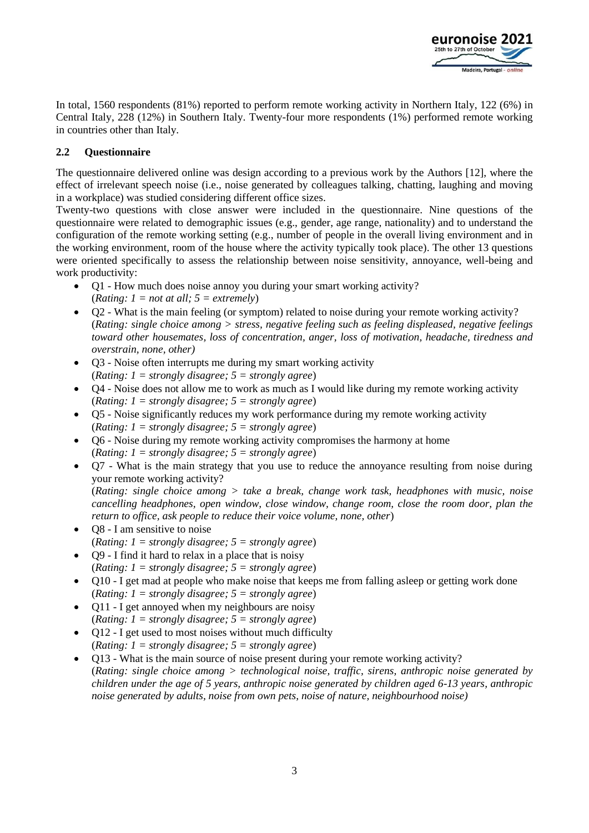

In total, 1560 respondents (81%) reported to perform remote working activity in Northern Italy, 122 (6%) in Central Italy, 228 (12%) in Southern Italy. Twenty-four more respondents (1%) performed remote working in countries other than Italy.

### **2.2 Questionnaire**

The questionnaire delivered online was design according to a previous work by the Authors [\[12\],](#page-7-4) where the effect of irrelevant speech noise (i.e., noise generated by colleagues talking, chatting, laughing and moving in a workplace) was studied considering different office sizes.

Twenty-two questions with close answer were included in the questionnaire. Nine questions of the questionnaire were related to demographic issues (e.g., gender, age range, nationality) and to understand the configuration of the remote working setting (e.g., number of people in the overall living environment and in the working environment, room of the house where the activity typically took place). The other 13 questions were oriented specifically to assess the relationship between noise sensitivity, annoyance, well-being and work productivity:

- Q1 How much does noise annoy you during your smart working activity? (*Rating: 1 = not at all; 5 = extremely*)
- Q2 What is the main feeling (or symptom) related to noise during your remote working activity? (*Rating: single choice among > stress, negative feeling such as feeling displeased, negative feelings toward other housemates, loss of concentration, anger, loss of motivation, headache, tiredness and overstrain, none, other)*
- Q3 Noise often interrupts me during my smart working activity (*Rating: 1 = strongly disagree; 5 = strongly agree*)
- Q4 Noise does not allow me to work as much as I would like during my remote working activity (*Rating: 1 = strongly disagree; 5 = strongly agree*)
- Q5 Noise significantly reduces my work performance during my remote working activity (*Rating: 1 = strongly disagree; 5 = strongly agree*)
- Q6 Noise during my remote working activity compromises the harmony at home (*Rating: 1 = strongly disagree; 5 = strongly agree*)
- Q7 What is the main strategy that you use to reduce the annoyance resulting from noise during your remote working activity? (*Rating: single choice among > take a break, change work task, headphones with music, noise cancelling headphones, open window, close window, change room, close the room door, plan the*
- *return to office, ask people to reduce their voice volume, none, other*) • O8 - I am sensitive to noise
- (*Rating: 1 = strongly disagree; 5 = strongly agree*) • O9 - I find it hard to relax in a place that is noisy
- (*Rating: 1 = strongly disagree; 5 = strongly agree*)
- O10 I get mad at people who make noise that keeps me from falling asleep or getting work done (*Rating: 1 = strongly disagree; 5 = strongly agree*)
- Q11 I get annoyed when my neighbours are noisy (*Rating: 1 = strongly disagree; 5 = strongly agree*)
- Q12 I get used to most noises without much difficulty (*Rating: 1 = strongly disagree; 5 = strongly agree*)
- Q13 What is the main source of noise present during your remote working activity? (*Rating: single choice among > technological noise, traffic, sirens, anthropic noise generated by children under the age of 5 years, anthropic noise generated by children aged 6-13 years, anthropic noise generated by adults, noise from own pets, noise of nature, neighbourhood noise)*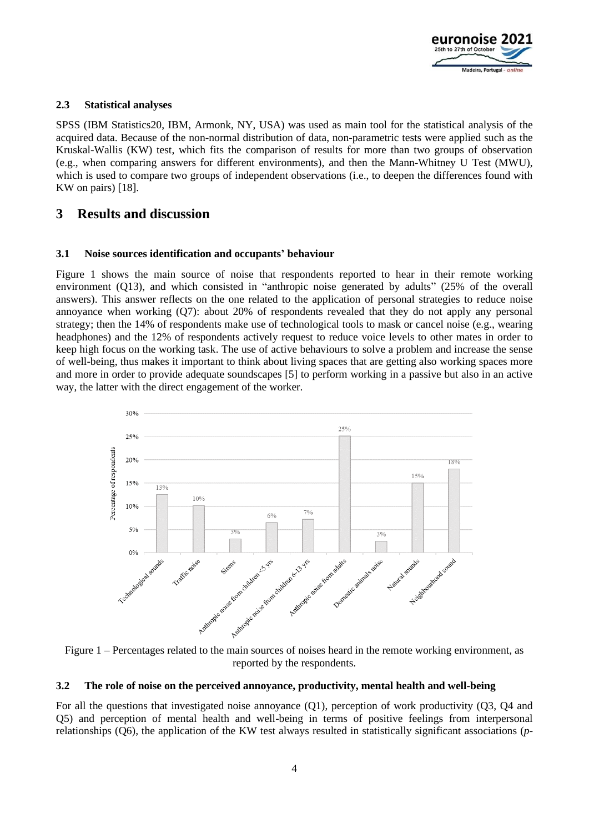

#### **2.3 Statistical analyses**

SPSS (IBM Statistics20, IBM, Armonk, NY, USA) was used as main tool for the statistical analysis of the acquired data. Because of the non-normal distribution of data, non-parametric tests were applied such as the Kruskal-Wallis (KW) test, which fits the comparison of results for more than two groups of observation (e.g., when comparing answers for different environments), and then the Mann-Whitney U Test (MWU), which is used to compare two groups of independent observations (i.e., to deepen the differences found with KW on pairs) [\[18\].](#page-7-8)

### **3 Results and discussion**

#### **3.1 Noise sources identification and occupants' behaviour**

Figure 1 shows the main source of noise that respondents reported to hear in their remote working environment (Q13), and which consisted in "anthropic noise generated by adults" (25% of the overall answers). This answer reflects on the one related to the application of personal strategies to reduce noise annoyance when working (Q7): about 20% of respondents revealed that they do not apply any personal strategy; then the 14% of respondents make use of technological tools to mask or cancel noise (e.g., wearing headphones) and the 12% of respondents actively request to reduce voice levels to other mates in order to keep high focus on the working task. The use of active behaviours to solve a problem and increase the sense of well-being, thus makes it important to think about living spaces that are getting also working spaces more and more in order to provide adequate soundscapes [\[5\]](#page-6-4) to perform working in a passive but also in an active way, the latter with the direct engagement of the worker.



Figure 1 – Percentages related to the main sources of noises heard in the remote working environment, as reported by the respondents.

#### **3.2 The role of noise on the perceived annoyance, productivity, mental health and well-being**

For all the questions that investigated noise annoyance (Q1), perception of work productivity (Q3, Q4 and Q5) and perception of mental health and well-being in terms of positive feelings from interpersonal relationships (Q6), the application of the KW test always resulted in statistically significant associations (*p*-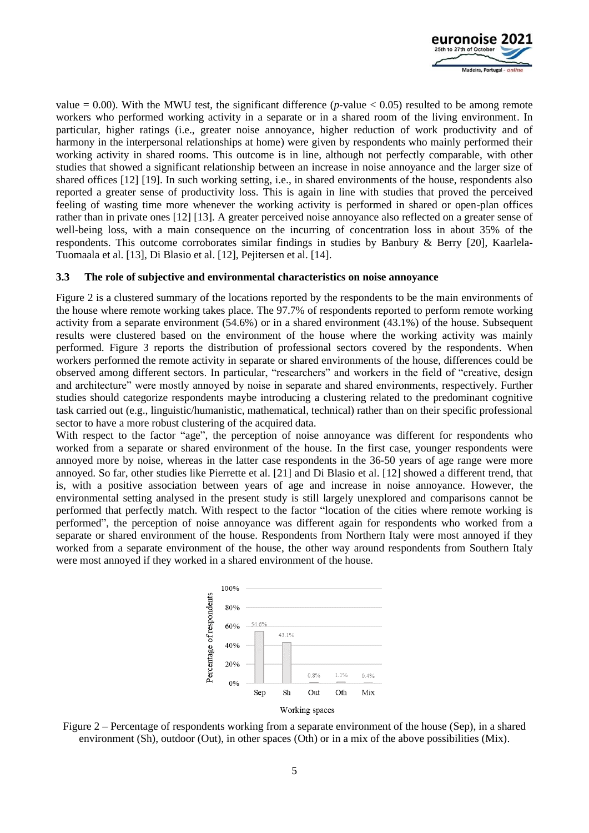

value  $= 0.00$ ). With the MWU test, the significant difference (*p*-value  $< 0.05$ ) resulted to be among remote workers who performed working activity in a separate or in a shared room of the living environment. In particular, higher ratings (i.e., greater noise annoyance, higher reduction of work productivity and of harmony in the interpersonal relationships at home) were given by respondents who mainly performed their working activity in shared rooms. This outcome is in line, although not perfectly comparable, with other studies that showed a significant relationship between an increase in noise annoyance and the larger size of shared offices [\[12\]](#page-7-4) [\[19\].](#page-7-9) In such working setting, i.e., in shared environments of the house, respondents also reported a greater sense of productivity loss. This is again in line with studies that proved the perceived feeling of wasting time more whenever the working activity is performed in shared or open-plan offices rather than in private ones [\[12\]](#page-7-4) [\[13\].](#page-7-5) A greater perceived noise annoyance also reflected on a greater sense of well-being loss, with a main consequence on the incurring of concentration loss in about 35% of the respondents. This outcome corroborates similar findings in studies by Banbury & Berry [\[20\],](#page-7-10) Kaarlela-Tuomaala et al. [\[13\],](#page-7-5) Di Blasio et al. [\[12\],](#page-7-4) Pejitersen et al. [\[14\].](#page-7-11)

#### **3.3 The role of subjective and environmental characteristics on noise annoyance**

Figure 2 is a clustered summary of the locations reported by the respondents to be the main environments of the house where remote working takes place. The 97.7% of respondents reported to perform remote working activity from a separate environment (54.6%) or in a shared environment (43.1%) of the house. Subsequent results were clustered based on the environment of the house where the working activity was mainly performed. Figure 3 reports the distribution of professional sectors covered by the respondents. When workers performed the remote activity in separate or shared environments of the house, differences could be observed among different sectors. In particular, "researchers" and workers in the field of "creative, design and architecture" were mostly annoyed by noise in separate and shared environments, respectively. Further studies should categorize respondents maybe introducing a clustering related to the predominant cognitive task carried out (e.g., linguistic/humanistic, mathematical, technical) rather than on their specific professional sector to have a more robust clustering of the acquired data.

With respect to the factor "age", the perception of noise annoyance was different for respondents who worked from a separate or shared environment of the house. In the first case, younger respondents were annoyed more by noise, whereas in the latter case respondents in the 36-50 years of age range were more annoyed. So far, other studies like Pierrette et al. [\[21\]](#page-7-12) and Di Blasio et al. [\[12\]](#page-7-4) showed a different trend, that is, with a positive association between years of age and increase in noise annoyance. However, the environmental setting analysed in the present study is still largely unexplored and comparisons cannot be performed that perfectly match. With respect to the factor "location of the cities where remote working is performed", the perception of noise annoyance was different again for respondents who worked from a separate or shared environment of the house. Respondents from Northern Italy were most annoyed if they worked from a separate environment of the house, the other way around respondents from Southern Italy were most annoyed if they worked in a shared environment of the house.



Figure 2 – Percentage of respondents working from a separate environment of the house (Sep), in a shared environment (Sh), outdoor (Out), in other spaces (Oth) or in a mix of the above possibilities (Mix).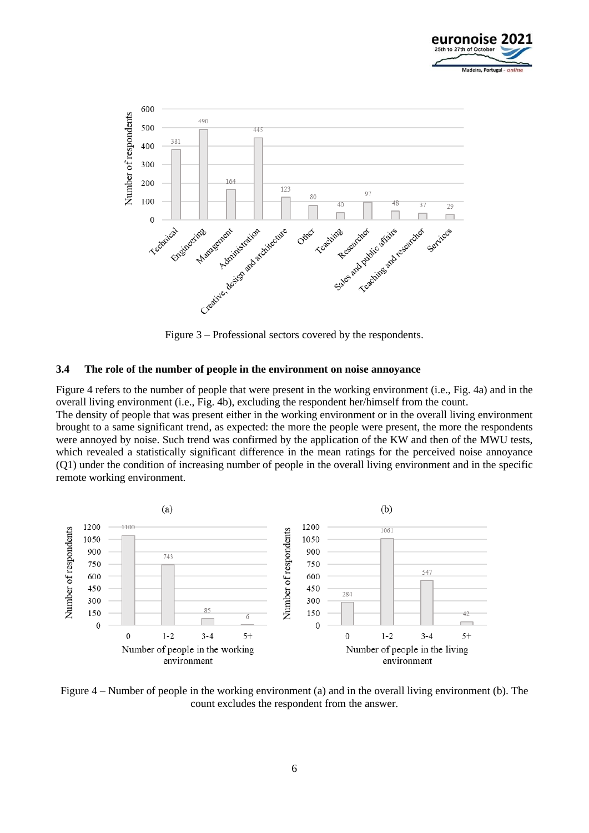



Figure 3 – Professional sectors covered by the respondents.

#### **3.4 The role of the number of people in the environment on noise annoyance**

Figure 4 refers to the number of people that were present in the working environment (i.e., Fig. 4a) and in the overall living environment (i.e., Fig. 4b), excluding the respondent her/himself from the count.

The density of people that was present either in the working environment or in the overall living environment brought to a same significant trend, as expected: the more the people were present, the more the respondents were annoyed by noise. Such trend was confirmed by the application of the KW and then of the MWU tests, which revealed a statistically significant difference in the mean ratings for the perceived noise annoyance (Q1) under the condition of increasing number of people in the overall living environment and in the specific remote working environment.



Figure 4 – Number of people in the working environment (a) and in the overall living environment (b). The count excludes the respondent from the answer.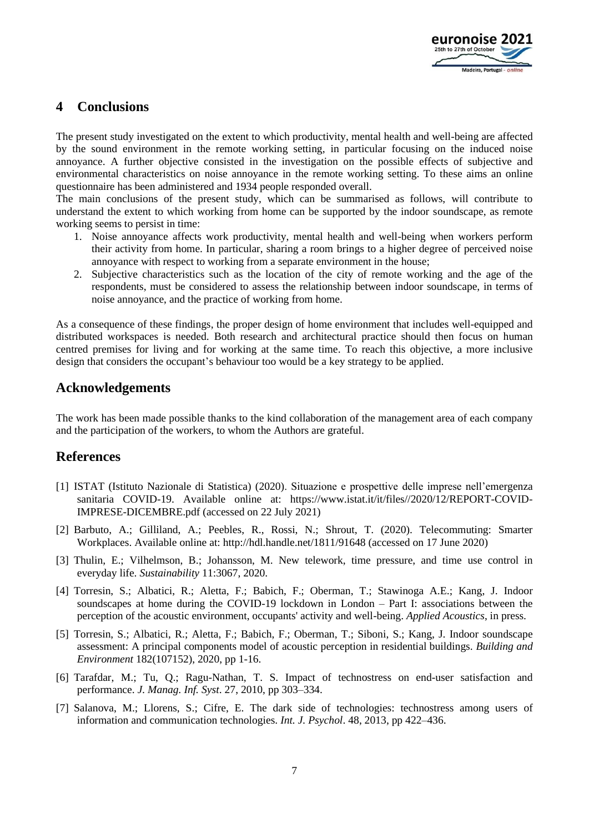

## **4 Conclusions**

The present study investigated on the extent to which productivity, mental health and well-being are affected by the sound environment in the remote working setting, in particular focusing on the induced noise annoyance. A further objective consisted in the investigation on the possible effects of subjective and environmental characteristics on noise annoyance in the remote working setting. To these aims an online questionnaire has been administered and 1934 people responded overall.

The main conclusions of the present study, which can be summarised as follows, will contribute to understand the extent to which working from home can be supported by the indoor soundscape, as remote working seems to persist in time:

- 1. Noise annoyance affects work productivity, mental health and well-being when workers perform their activity from home. In particular, sharing a room brings to a higher degree of perceived noise annoyance with respect to working from a separate environment in the house;
- 2. Subjective characteristics such as the location of the city of remote working and the age of the respondents, must be considered to assess the relationship between indoor soundscape, in terms of noise annoyance, and the practice of working from home.

As a consequence of these findings, the proper design of home environment that includes well-equipped and distributed workspaces is needed. Both research and architectural practice should then focus on human centred premises for living and for working at the same time. To reach this objective, a more inclusive design that considers the occupant's behaviour too would be a key strategy to be applied.

### **Acknowledgements**

The work has been made possible thanks to the kind collaboration of the management area of each company and the participation of the workers, to whom the Authors are grateful.

### **References**

- <span id="page-6-0"></span>[1] ISTAT (Istituto Nazionale di Statistica) (2020). Situazione e prospettive delle imprese nell'emergenza sanitaria COVID-19. Available online at: https://www.istat.it/it/files//2020/12/REPORT-COVID-IMPRESE-DICEMBRE.pdf (accessed on 22 July 2021)
- <span id="page-6-1"></span>[2] Barbuto, A.; Gilliland, A.; Peebles, R., Rossi, N.; Shrout, T. (2020). Telecommuting: Smarter Workplaces. Available online at: http://hdl.handle.net/1811/91648 (accessed on 17 June 2020)
- <span id="page-6-2"></span>[3] Thulin, E.; Vilhelmson, B.; Johansson, M. New telework, time pressure, and time use control in everyday life. *Sustainability* 11:3067, 2020.
- <span id="page-6-3"></span>[4] Torresin, S.; Albatici, R.; Aletta, F.; Babich, F.; Oberman, T.; Stawinoga A.E.; Kang, J. Indoor soundscapes at home during the COVID-19 lockdown in London – Part I: associations between the perception of the acoustic environment, occupants' activity and well-being. *Applied Acoustics*, in press.
- <span id="page-6-4"></span>[5] Torresin, S.; Albatici, R.; Aletta, F.; Babich, F.; Oberman, T.; Siboni, S.; Kang, J. Indoor soundscape assessment: A principal components model of acoustic perception in residential buildings. *Building and Environment* 182(107152), 2020, pp 1-16.
- <span id="page-6-5"></span>[6] Tarafdar, M.; Tu, Q.; Ragu-Nathan, T. S. Impact of technostress on end-user satisfaction and performance. *J. Manag. Inf. Syst*. 27, 2010, pp 303–334.
- [7] Salanova, M.; Llorens, S.; Cifre, E. The dark side of technologies: technostress among users of information and communication technologies. *Int. J. Psychol*. 48, 2013, pp 422–436.